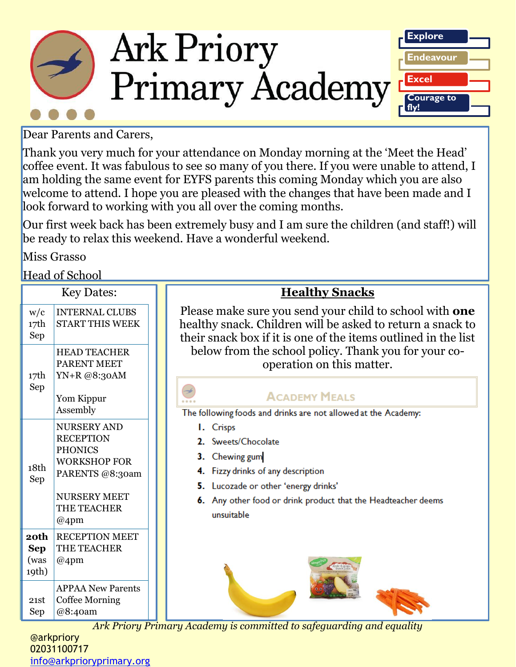

Dear Parents and Carers,

Thank you very much for your attendance on Monday morning at the 'Meet the Head' coffee event. It was fabulous to see so many of you there. If you were unable to attend, I am holding the same event for EYFS parents this coming Monday which you are also welcome to attend. I hope you are pleased with the changes that have been made and I look forward to working with you all over the coming months.

Our first week back has been extremely busy and I am sure the children (and staff!) will be ready to relax this weekend. Have a wonderful weekend.

Miss Grasso

Head of School

|                                                    | <b>Key Dates:</b>                                                                                                                                        |  | <b>Healthy Snacks</b>                                                                                                                                                                                                                                                                                                                                                                                |
|----------------------------------------------------|----------------------------------------------------------------------------------------------------------------------------------------------------------|--|------------------------------------------------------------------------------------------------------------------------------------------------------------------------------------------------------------------------------------------------------------------------------------------------------------------------------------------------------------------------------------------------------|
| w/c<br>17th<br>Sep                                 | <b>INTERNAL CLUBS</b><br><b>START THIS WEEK</b>                                                                                                          |  | Please make sure you send your child to school with <b>one</b><br>healthy snack. Children will be asked to return a snack to<br>their snack box if it is one of the items outlined in the list                                                                                                                                                                                                       |
| 17th<br>Sep                                        | <b>HEAD TEACHER</b><br><b>PARENT MEET</b><br>YN+R @8:30AM<br>Yom Kippur                                                                                  |  | below from the school policy. Thank you for your co-<br>operation on this matter.<br><b>ACADEMY MEALS</b><br>The following foods and drinks are not allowed at the Academy:<br>I. Crisps<br>2. Sweets/Chocolate<br>Chewing gum<br>3.<br>Fizzy drinks of any description<br>4.<br>5. Lucozade or other 'energy drinks'<br>6. Any other food or drink product that the Headteacher deems<br>unsuitable |
| 18th<br>Sep                                        | Assembly<br>NURSERY AND<br><b>RECEPTION</b><br><b>PHONICS</b><br><b>WORKSHOP FOR</b><br>PARENTS @8:30am<br><b>NURSERY MEET</b><br>THE TEACHER<br>$@4$ pm |  |                                                                                                                                                                                                                                                                                                                                                                                                      |
| 20th<br><b>Sep</b><br>(was<br>19th)<br>21st<br>Sep | <b>RECEPTION MEET</b><br>THE TEACHER<br>$@4$ pm<br><b>APPAA New Parents</b><br><b>Coffee Morning</b><br>@8:40am                                          |  |                                                                                                                                                                                                                                                                                                                                                                                                      |

*Ark Priory Primary Academ[y is committed to](https://www.google.com/url?sa=i&rct=j&q=&esrc=s&source=imgres&cd=&cad=rja&uact=8&ved=2ahUKEwiW68ax6bfdAhVOURoKHVocA48QjRx6BAgBEAU&url=https://www.walmart.ca/en/ip/banana-sold-in-singles/875805&psig=AOvVaw3eFssn4N5-g24ntl5lwlqH&ust=1536922707223464) [safeguarding an](http://www.google.com/url?sa=i&rct=j&q=&esrc=s&source=images&cd=&cad=rja&uact=8&ved=2ahUKEwjjhrPD76_dAhVKUhoKHdmVBfEQjRx6BAgBEAU&url=http://www.simplyfruit.com/product/apple-and-snack-pack-80g/&psig=AOvVaw2HRuy_9O7oxDaEKD17nMy4&ust=1536649469558923)d equality* 

@arkpriory 02031100717 [info@arkprioryprimary.org](mailto:info@arkprioryprimary.org)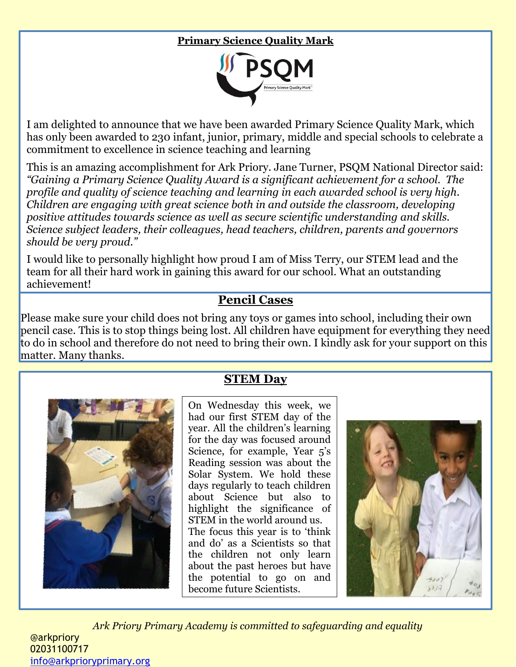## **Primary Science Quality Mark**



I am delighted to announce that we have been awarded Primary Science Quality Mark, which has only been awarded to 230 infant, junior, primary, middle and special schools to celebrate a commitment to excellence in science teaching and learning

This is an amazing accomplishment for Ark Priory. Jane Turner, PSQM National Director said: *"Gaining a Primary Science Quality Award is a significant achievement for a school. The profile and quality of science teaching and learning in each awarded school is very high. Children are engaging with great science both in and outside the classroom, developing positive attitudes towards science as well as secure scientific understanding and skills. Science subject leaders, their colleagues, head teachers, children, parents and governors should be very proud."*

I would like to personally highlight how proud I am of Miss Terry, our STEM lead and the team for all their hard work in gaining this award for our school. What an outstanding achievement!

## **Pencil Cases**

Please make sure your child does not bring any toys or games into school, including their own pencil case. This is to stop things being lost. All children have equipment for everything they need to do in school and therefore do not need to bring their own. I kindly ask for your support on this matter. Many thanks.



I

## **STEM Day**

On Wednesday this week, we had our first STEM day of the year. All the children's learning for the day was focused around Science, for example, Year 5's Reading session was about the Solar System. We hold these days regularly to teach children about Science but also to highlight the significance of STEM in the world around us. The focus this year is to 'think and do' as a Scientists so that the children not only learn about the past heroes but have the potential to go on and



*Ark Priory Primary Academy is committed to safeguarding and equality*  @arkpriory 02031100717 [info@arkprioryprimary.org](mailto:info@arkprioryprimary.org) 

become future Scientists.